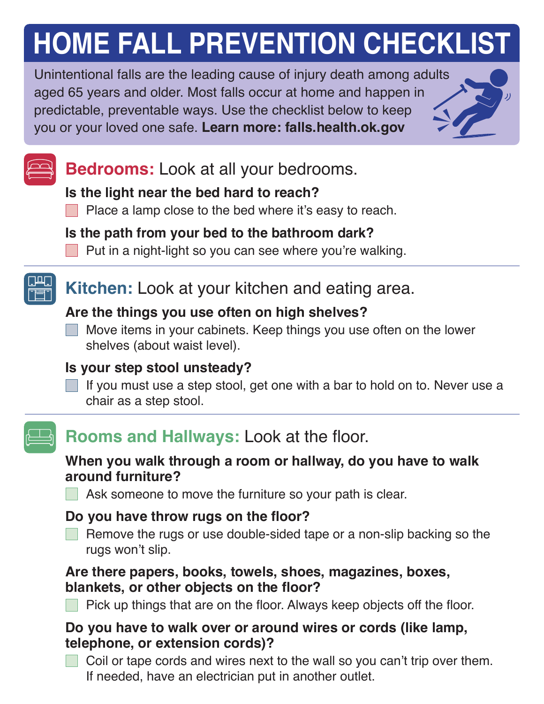# **HOME FALL PREVENTION CHECKLIST**

Unintentional falls are the leading cause of injury death among adults aged 65 years and older. Most falls occur at home and happen in predictable, preventable ways. Use the checklist below to keep you or your loved one safe. **Learn more: falls.health.ok.gov**



# **Bedrooms:** Look at all your bedrooms.

#### **Is the light near the bed hard to reach?**

**Place a lamp close to the bed where it's easy to reach.** 

### **Is the path from your bed to the bathroom dark?**

**Put in a night-light so you can see where you're walking.** 



# **Kitchen:** Look at your kitchen and eating area.

### **Are the things you use often on high shelves?**

Move items in your cabinets. Keep things you use often on the lower shelves (about waist level).

### **Is your step stool unsteady?**

If you must use a step stool, get one with a bar to hold on to. Never use a chair as a step stool.



# **Rooms and Hallways:** Look at the floor.

#### **When you walk through a room or hallway, do you have to walk around furniture?**

Ask someone to move the furniture so your path is clear.

### **Do you have throw rugs on the floor?**

Remove the rugs or use double-sided tape or a non-slip backing so the rugs won't slip.

#### **Are there papers, books, towels, shoes, magazines, boxes, blankets, or other objects on the floor?**

Pick up things that are on the floor. Always keep objects off the floor.

#### **Do you have to walk over or around wires or cords (like lamp, telephone, or extension cords)?**

Coil or tape cords and wires next to the wall so you can't trip over them. If needed, have an electrician put in another outlet.